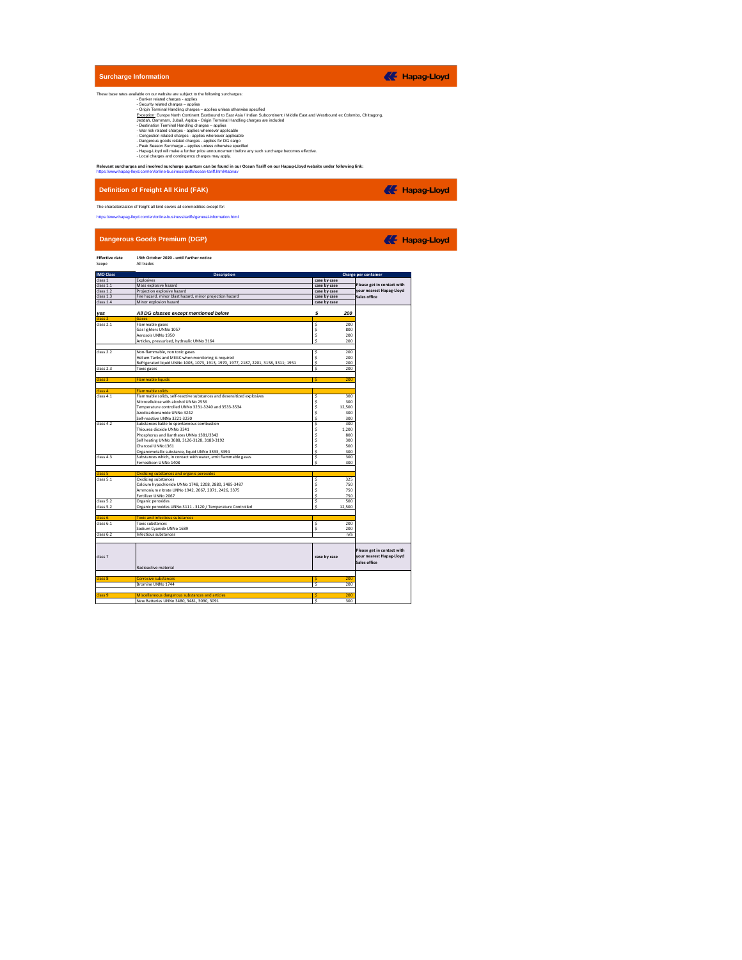|                                | <b>Surcharge Information</b>                                                                                                                                                                                                                                                                                                                                                                                                                                                                                                                                                                                                                                                                                                                                                                                                                                                                                                                                                                                                                                                       |                              | <b>KE</b> Hapag-Lloyd                    |  |
|--------------------------------|------------------------------------------------------------------------------------------------------------------------------------------------------------------------------------------------------------------------------------------------------------------------------------------------------------------------------------------------------------------------------------------------------------------------------------------------------------------------------------------------------------------------------------------------------------------------------------------------------------------------------------------------------------------------------------------------------------------------------------------------------------------------------------------------------------------------------------------------------------------------------------------------------------------------------------------------------------------------------------------------------------------------------------------------------------------------------------|------------------------------|------------------------------------------|--|
|                                | These base rates available on our website are subject to the following surcharges:<br>- Bunker related charges - applies<br>- Security related charges - applies<br>- Origin Terminal Handling charges - applies unless otherwise specified<br>Exception: Europe North Continent Eastbound to East Asia / Indian Subcontinent / Middle East and Westbound ex Colombo, Chittagong,<br>Jeddah, Dammam, Jubail, Aqaba - Origin Terminal Handling charges are included<br>- Destination Terminal Handling charges - applies<br>- War risk related charges - applies whereever applicable<br>- Congestion related charges - applies whereever applicable<br>- Dangerous goods related charges - applies for DG cargo<br>- Peak Season Surcharge - applies unless otherwise specified<br>- Hapag-Lloyd will make a further price announcement before any such surcharge becomes effective.<br>- Local charges and contingency charges may apply.<br>Relevant surcharges and involved surcharge quantum can be found in our Ocean Tariff on our Hapag-Lloyd website under following link: |                              |                                          |  |
|                                | https://www.hapag-lloyd.com/en/online-business/tariffs/ocean-tariff.html#tabnav<br><b>Definition of Freight All Kind (FAK)</b>                                                                                                                                                                                                                                                                                                                                                                                                                                                                                                                                                                                                                                                                                                                                                                                                                                                                                                                                                     |                              | <b>All</b> Hapag-Lloyd                   |  |
|                                | The characterization of freight all kind covers all commodities except for:                                                                                                                                                                                                                                                                                                                                                                                                                                                                                                                                                                                                                                                                                                                                                                                                                                                                                                                                                                                                        |                              |                                          |  |
|                                | https://www.hapag-lloyd.com/en/online-business/tariffs/general-information.html                                                                                                                                                                                                                                                                                                                                                                                                                                                                                                                                                                                                                                                                                                                                                                                                                                                                                                                                                                                                    |                              |                                          |  |
|                                | Dangerous Goods Premium (DGP)                                                                                                                                                                                                                                                                                                                                                                                                                                                                                                                                                                                                                                                                                                                                                                                                                                                                                                                                                                                                                                                      |                              | <b>KG</b> Hapag-Lloyd                    |  |
| <b>Effective date</b><br>Scope | 15th October 2020 - until further notice<br>All trades                                                                                                                                                                                                                                                                                                                                                                                                                                                                                                                                                                                                                                                                                                                                                                                                                                                                                                                                                                                                                             |                              |                                          |  |
| <b>MO Class</b>                | <b>Description</b>                                                                                                                                                                                                                                                                                                                                                                                                                                                                                                                                                                                                                                                                                                                                                                                                                                                                                                                                                                                                                                                                 |                              | Charge per container                     |  |
| class 1<br>class 1.1           | Explosives<br>Mass explosive hazard                                                                                                                                                                                                                                                                                                                                                                                                                                                                                                                                                                                                                                                                                                                                                                                                                                                                                                                                                                                                                                                | case by case<br>case by case | Please get in contact with               |  |
| class 1.2<br>class 1.3         | Projection explosive hazard<br>Fire hazard, minor blast hazard, minor projection hazard                                                                                                                                                                                                                                                                                                                                                                                                                                                                                                                                                                                                                                                                                                                                                                                                                                                                                                                                                                                            | case by case<br>case by case | your nearest Hapag-Lloyd<br>Sales office |  |
| class 1.4                      | Minor explosion hazard                                                                                                                                                                                                                                                                                                                                                                                                                                                                                                                                                                                                                                                                                                                                                                                                                                                                                                                                                                                                                                                             | case by case                 |                                          |  |
| yes                            | All DG classes except mentioned below                                                                                                                                                                                                                                                                                                                                                                                                                                                                                                                                                                                                                                                                                                                                                                                                                                                                                                                                                                                                                                              | \$<br>200                    |                                          |  |
| class 2.1                      | Flammable gases                                                                                                                                                                                                                                                                                                                                                                                                                                                                                                                                                                                                                                                                                                                                                                                                                                                                                                                                                                                                                                                                    | Ś<br>200                     |                                          |  |
|                                | Gas lighters UNNo 1057                                                                                                                                                                                                                                                                                                                                                                                                                                                                                                                                                                                                                                                                                                                                                                                                                                                                                                                                                                                                                                                             | \$<br>800<br>200             |                                          |  |
|                                | Aerosols UNNo 1950<br>Articles, pressurized, hydraulic UNNo 3164                                                                                                                                                                                                                                                                                                                                                                                                                                                                                                                                                                                                                                                                                                                                                                                                                                                                                                                                                                                                                   | \$<br>Ś<br>200               |                                          |  |
| class 2.2                      | Non-flammable, non toxic gases                                                                                                                                                                                                                                                                                                                                                                                                                                                                                                                                                                                                                                                                                                                                                                                                                                                                                                                                                                                                                                                     | \$<br>200                    |                                          |  |
|                                | Helium Tanks and MEGC when monitoring is required                                                                                                                                                                                                                                                                                                                                                                                                                                                                                                                                                                                                                                                                                                                                                                                                                                                                                                                                                                                                                                  | \$<br>200                    |                                          |  |
| class 2.3                      | Refrigerated liquid UNNo 1003, 1073, 1913, 1970, 1977, 2187, 2201, 3158, 3311; 1951<br><b>Toxic gases</b>                                                                                                                                                                                                                                                                                                                                                                                                                                                                                                                                                                                                                                                                                                                                                                                                                                                                                                                                                                          | \$<br>200<br>200<br>Ś        |                                          |  |
|                                |                                                                                                                                                                                                                                                                                                                                                                                                                                                                                                                                                                                                                                                                                                                                                                                                                                                                                                                                                                                                                                                                                    |                              |                                          |  |
|                                | <b>Flammable liquids</b>                                                                                                                                                                                                                                                                                                                                                                                                                                                                                                                                                                                                                                                                                                                                                                                                                                                                                                                                                                                                                                                           | 200                          |                                          |  |
| lass 4                         | Iammable solid                                                                                                                                                                                                                                                                                                                                                                                                                                                                                                                                                                                                                                                                                                                                                                                                                                                                                                                                                                                                                                                                     |                              |                                          |  |
| class 4.1                      | Flammable solids, self-reactive substances and desensitized explosives<br>Nitrocellulose with alcohol UNNo 2556                                                                                                                                                                                                                                                                                                                                                                                                                                                                                                                                                                                                                                                                                                                                                                                                                                                                                                                                                                    | 300<br>s<br>\$<br>300        |                                          |  |
|                                | Temperature controlled UNNo 3231-3240 and 3533-3534                                                                                                                                                                                                                                                                                                                                                                                                                                                                                                                                                                                                                                                                                                                                                                                                                                                                                                                                                                                                                                | \$<br>12.500                 |                                          |  |
|                                | Azodicarbonamide UNNo 3242<br>Self-reactive UNNo 3221-3230                                                                                                                                                                                                                                                                                                                                                                                                                                                                                                                                                                                                                                                                                                                                                                                                                                                                                                                                                                                                                         | ś<br>300<br>S<br>300         |                                          |  |
| class 4.2                      | Substances liable to spontaneous combustion                                                                                                                                                                                                                                                                                                                                                                                                                                                                                                                                                                                                                                                                                                                                                                                                                                                                                                                                                                                                                                        | 300<br>1.200                 |                                          |  |
|                                | Thiourea dioxide UNNo 3341<br>Phosphorus and Xanthates UNNo 1381/3342                                                                                                                                                                                                                                                                                                                                                                                                                                                                                                                                                                                                                                                                                                                                                                                                                                                                                                                                                                                                              | s<br>s<br>s<br>800           |                                          |  |
|                                | Self heating UNNo 3088, 3126-3128, 3183-3192<br>Charcoal UNNo1361                                                                                                                                                                                                                                                                                                                                                                                                                                                                                                                                                                                                                                                                                                                                                                                                                                                                                                                                                                                                                  | \$<br>300<br>500             |                                          |  |
|                                | Organometallic substance, liquid UNNo 3393, 3394                                                                                                                                                                                                                                                                                                                                                                                                                                                                                                                                                                                                                                                                                                                                                                                                                                                                                                                                                                                                                                   | \$<br>\$<br>300              |                                          |  |
| class 4.3                      | Substances which, in contact with water, emit flammable gases                                                                                                                                                                                                                                                                                                                                                                                                                                                                                                                                                                                                                                                                                                                                                                                                                                                                                                                                                                                                                      | \$<br>300<br>ś               |                                          |  |
|                                | Ferrosilicon UNNo 1408                                                                                                                                                                                                                                                                                                                                                                                                                                                                                                                                                                                                                                                                                                                                                                                                                                                                                                                                                                                                                                                             | 300                          |                                          |  |
| class 5.1                      | <b>Oxidizing substances and organic peroxide</b>                                                                                                                                                                                                                                                                                                                                                                                                                                                                                                                                                                                                                                                                                                                                                                                                                                                                                                                                                                                                                                   | $\frac{1}{225}$              |                                          |  |
|                                | <b>Oxidizing substances</b><br>Calcium hypochloride UNNo 1748, 2208, 2880, 3485-3487                                                                                                                                                                                                                                                                                                                                                                                                                                                                                                                                                                                                                                                                                                                                                                                                                                                                                                                                                                                               | \$<br>\$<br>750              |                                          |  |
|                                | Ammonium nitrate UNNo 1942, 2067, 2071, 2426, 3375<br>Fertilizer UNNo 2067                                                                                                                                                                                                                                                                                                                                                                                                                                                                                                                                                                                                                                                                                                                                                                                                                                                                                                                                                                                                         | \$<br>750<br>Ś<br>750        |                                          |  |
| class 5.2                      | Organic peroxides                                                                                                                                                                                                                                                                                                                                                                                                                                                                                                                                                                                                                                                                                                                                                                                                                                                                                                                                                                                                                                                                  | \$<br>500                    |                                          |  |
| class 5.2                      | Organic peroxides UNNo 3111 - 3120 / Temperature Controlled                                                                                                                                                                                                                                                                                                                                                                                                                                                                                                                                                                                                                                                                                                                                                                                                                                                                                                                                                                                                                        | Ś<br>12.500                  |                                          |  |
| lass 6                         | <b>Toxic and infectious substance:</b>                                                                                                                                                                                                                                                                                                                                                                                                                                                                                                                                                                                                                                                                                                                                                                                                                                                                                                                                                                                                                                             |                              |                                          |  |
| class 6.1                      | Toxic substances<br>Sodium Cvanide UNNo 1689                                                                                                                                                                                                                                                                                                                                                                                                                                                                                                                                                                                                                                                                                                                                                                                                                                                                                                                                                                                                                                       | 200<br>Ś<br>Š                |                                          |  |
| class 6.2                      | Infectious substances                                                                                                                                                                                                                                                                                                                                                                                                                                                                                                                                                                                                                                                                                                                                                                                                                                                                                                                                                                                                                                                              | 200<br>n/a                   |                                          |  |
|                                |                                                                                                                                                                                                                                                                                                                                                                                                                                                                                                                                                                                                                                                                                                                                                                                                                                                                                                                                                                                                                                                                                    |                              | Please get in contact with               |  |
| class 7                        |                                                                                                                                                                                                                                                                                                                                                                                                                                                                                                                                                                                                                                                                                                                                                                                                                                                                                                                                                                                                                                                                                    | case by case                 | your nearest Hapag-Lloyd                 |  |
|                                |                                                                                                                                                                                                                                                                                                                                                                                                                                                                                                                                                                                                                                                                                                                                                                                                                                                                                                                                                                                                                                                                                    |                              | Sales office                             |  |
|                                | Radioactive material                                                                                                                                                                                                                                                                                                                                                                                                                                                                                                                                                                                                                                                                                                                                                                                                                                                                                                                                                                                                                                                               |                              |                                          |  |
|                                | <u> Corrosive substan</u><br>Bromine UNNo 1744                                                                                                                                                                                                                                                                                                                                                                                                                                                                                                                                                                                                                                                                                                                                                                                                                                                                                                                                                                                                                                     | \$<br>200                    |                                          |  |
|                                |                                                                                                                                                                                                                                                                                                                                                                                                                                                                                                                                                                                                                                                                                                                                                                                                                                                                                                                                                                                                                                                                                    |                              |                                          |  |
|                                | Aiscellaneous dangerous substances and articles                                                                                                                                                                                                                                                                                                                                                                                                                                                                                                                                                                                                                                                                                                                                                                                                                                                                                                                                                                                                                                    |                              |                                          |  |
|                                | New Batteries UNNo 3480, 3481, 3090, 3091                                                                                                                                                                                                                                                                                                                                                                                                                                                                                                                                                                                                                                                                                                                                                                                                                                                                                                                                                                                                                                          | 300<br>Ś                     |                                          |  |